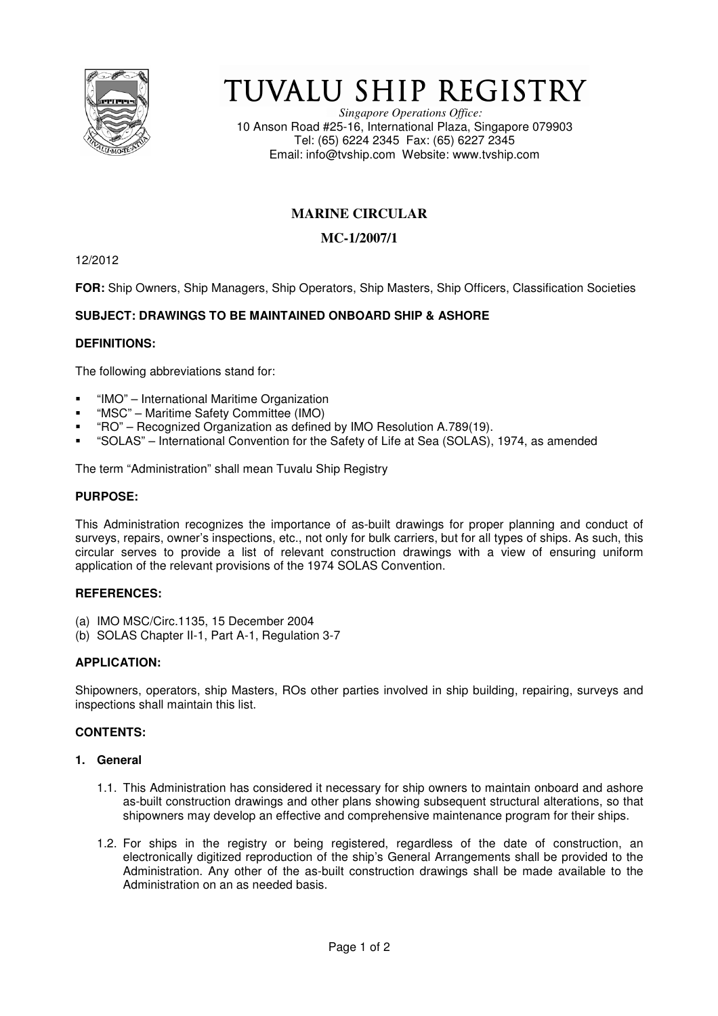

# TUVALU SHIP REGISTRY

*Singapore Operations Office:* 10 Anson Road #25-16, International Plaza, Singapore 079903 Tel: (65) 6224 2345 Fax: (65) 6227 2345 Email: info@tvship.com Website: www.tvship.com

# **MARINE CIRCULAR**

# **MC-1/2007/1**

12/2012

**FOR:** Ship Owners, Ship Managers, Ship Operators, Ship Masters, Ship Officers, Classification Societies

## **SUBJECT: DRAWINGS TO BE MAINTAINED ONBOARD SHIP & ASHORE**

#### **DEFINITIONS:**

The following abbreviations stand for:

- "IMO" International Maritime Organization
- "MSC" Maritime Safety Committee (IMO)
- "RO" Recognized Organization as defined by IMO Resolution A.789(19).
- "SOLAS" International Convention for the Safety of Life at Sea (SOLAS), 1974, as amended

The term "Administration" shall mean Tuvalu Ship Registry

#### **PURPOSE:**

This Administration recognizes the importance of as-built drawings for proper planning and conduct of surveys, repairs, owner's inspections, etc., not only for bulk carriers, but for all types of ships. As such, this circular serves to provide a list of relevant construction drawings with a view of ensuring uniform application of the relevant provisions of the 1974 SOLAS Convention.

#### **REFERENCES:**

- (a) IMO MSC/Circ.1135, 15 December 2004
- (b) SOLAS Chapter II-1, Part A-1, Regulation 3-7

#### **APPLICATION:**

Shipowners, operators, ship Masters, ROs other parties involved in ship building, repairing, surveys and inspections shall maintain this list.

#### **CONTENTS:**

#### **1. General**

- 1.1. This Administration has considered it necessary for ship owners to maintain onboard and ashore as-built construction drawings and other plans showing subsequent structural alterations, so that shipowners may develop an effective and comprehensive maintenance program for their ships.
- 1.2. For ships in the registry or being registered, regardless of the date of construction, an electronically digitized reproduction of the ship's General Arrangements shall be provided to the Administration. Any other of the as-built construction drawings shall be made available to the Administration on an as needed basis.